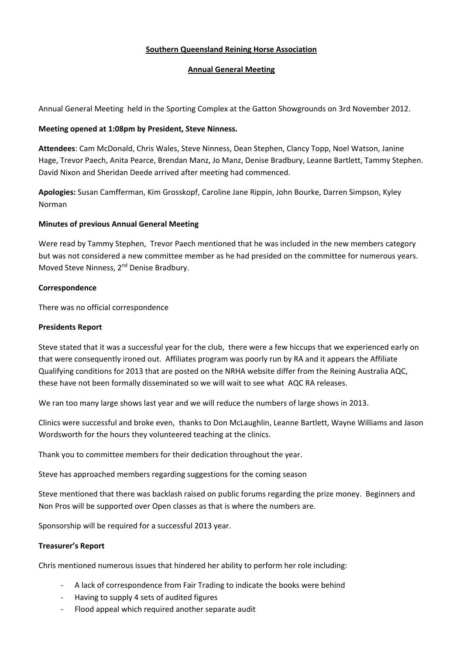# **Southern Queensland Reining Horse Association**

### **Annual General Meeting**

Annual General Meeting held in the Sporting Complex at the Gatton Showgrounds on 3rd November 2012.

## **Meeting opened at 1:08pm by President, Steve Ninness.**

**Attendees**: Cam McDonald, Chris Wales, Steve Ninness, Dean Stephen, Clancy Topp, Noel Watson, Janine Hage, Trevor Paech, Anita Pearce, Brendan Manz, Jo Manz, Denise Bradbury, Leanne Bartlett, Tammy Stephen. David Nixon and Sheridan Deede arrived after meeting had commenced.

**Apologies:** Susan Camfferman, Kim Grosskopf, Caroline Jane Rippin, John Bourke, Darren Simpson, Kyley Norman

### **Minutes of previous Annual General Meeting**

Were read by Tammy Stephen, Trevor Paech mentioned that he was included in the new members category but was not considered a new committee member as he had presided on the committee for numerous years. Moved Steve Ninness, 2<sup>nd</sup> Denise Bradbury.

### **Correspondence**

There was no official correspondence

## **Presidents Report**

Steve stated that it was a successful year for the club, there were a few hiccups that we experienced early on that were consequently ironed out. Affiliates program was poorly run by RA and it appears the Affiliate Qualifying conditions for 2013 that are posted on the NRHA website differ from the Reining Australia AQC, these have not been formally disseminated so we will wait to see what AQC RA releases.

We ran too many large shows last year and we will reduce the numbers of large shows in 2013.

Clinics were successful and broke even, thanks to Don McLaughlin, Leanne Bartlett, Wayne Williams and Jason Wordsworth for the hours they volunteered teaching at the clinics.

Thank you to committee members for their dedication throughout the year.

Steve has approached members regarding suggestions for the coming season

Steve mentioned that there was backlash raised on public forums regarding the prize money. Beginners and Non Pros will be supported over Open classes as that is where the numbers are.

Sponsorship will be required for a successful 2013 year.

### **Treasurer's Report**

Chris mentioned numerous issues that hindered her ability to perform her role including:

- A lack of correspondence from Fair Trading to indicate the books were behind
- Having to supply 4 sets of audited figures
- Flood appeal which required another separate audit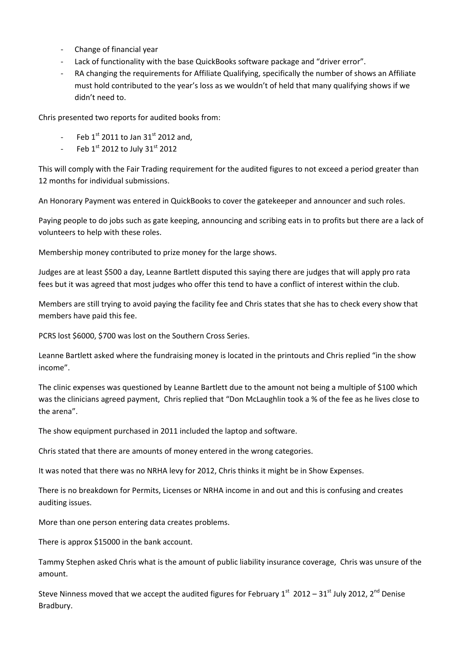- Change of financial year
- Lack of functionality with the base QuickBooks software package and "driver error".
- RA changing the requirements for Affiliate Qualifying, specifically the number of shows an Affiliate must hold contributed to the year's loss as we wouldn't of held that many qualifying shows if we didn't need to.

Chris presented two reports for audited books from:

- Feb  $1^{\text{st}}$  2011 to Jan 31st 2012 and,
- Feb  $1<sup>st</sup>$  2012 to July 31 $<sup>st</sup>$  2012</sup>

This will comply with the Fair Trading requirement for the audited figures to not exceed a period greater than 12 months for individual submissions.

An Honorary Payment was entered in QuickBooks to cover the gatekeeper and announcer and such roles.

Paying people to do jobs such as gate keeping, announcing and scribing eats in to profits but there are a lack of volunteers to help with these roles.

Membership money contributed to prize money for the large shows.

Judges are at least \$500 a day, Leanne Bartlett disputed this saying there are judges that will apply pro rata fees but it was agreed that most judges who offer this tend to have a conflict of interest within the club.

Members are still trying to avoid paying the facility fee and Chris states that she has to check every show that members have paid this fee.

PCRS lost \$6000, \$700 was lost on the Southern Cross Series.

Leanne Bartlett asked where the fundraising money is located in the printouts and Chris replied "in the show income".

The clinic expenses was questioned by Leanne Bartlett due to the amount not being a multiple of \$100 which was the clinicians agreed payment, Chris replied that "Don McLaughlin took a % of the fee as he lives close to the arena".

The show equipment purchased in 2011 included the laptop and software.

Chris stated that there are amounts of money entered in the wrong categories.

It was noted that there was no NRHA levy for 2012, Chris thinks it might be in Show Expenses.

There is no breakdown for Permits, Licenses or NRHA income in and out and this is confusing and creates auditing issues.

More than one person entering data creates problems.

There is approx \$15000 in the bank account.

Tammy Stephen asked Chris what is the amount of public liability insurance coverage, Chris was unsure of the amount.

Steve Ninness moved that we accept the audited figures for February  $1^{st}$  2012 – 31st July 2012, 2<sup>nd</sup> Denise Bradbury.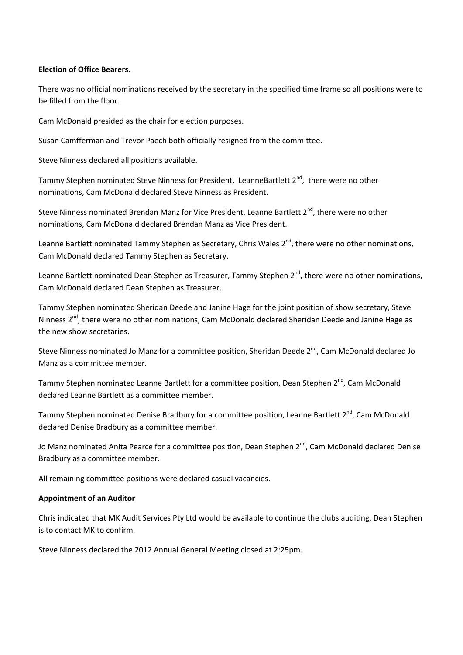## **Election of Office Bearers.**

There was no official nominations received by the secretary in the specified time frame so all positions were to be filled from the floor.

Cam McDonald presided as the chair for election purposes.

Susan Camfferman and Trevor Paech both officially resigned from the committee.

Steve Ninness declared all positions available.

Tammy Stephen nominated Steve Ninness for President, LeanneBartlett  $2^{nd}$ , there were no other nominations, Cam McDonald declared Steve Ninness as President.

Steve Ninness nominated Brendan Manz for Vice President, Leanne Bartlett 2<sup>nd</sup>, there were no other nominations, Cam McDonald declared Brendan Manz as Vice President.

Leanne Bartlett nominated Tammy Stephen as Secretary, Chris Wales 2<sup>nd</sup>, there were no other nominations, Cam McDonald declared Tammy Stephen as Secretary.

Leanne Bartlett nominated Dean Stephen as Treasurer, Tammy Stephen 2<sup>nd</sup>, there were no other nominations, Cam McDonald declared Dean Stephen as Treasurer.

Tammy Stephen nominated Sheridan Deede and Janine Hage for the joint position of show secretary, Steve Ninness 2<sup>nd</sup>, there were no other nominations, Cam McDonald declared Sheridan Deede and Janine Hage as the new show secretaries.

Steve Ninness nominated Jo Manz for a committee position, Sheridan Deede 2<sup>nd</sup>, Cam McDonald declared Jo Manz as a committee member.

Tammy Stephen nominated Leanne Bartlett for a committee position, Dean Stephen 2<sup>nd</sup>, Cam McDonald declared Leanne Bartlett as a committee member.

Tammy Stephen nominated Denise Bradbury for a committee position, Leanne Bartlett 2<sup>nd</sup>, Cam McDonald declared Denise Bradbury as a committee member.

Jo Manz nominated Anita Pearce for a committee position, Dean Stephen 2<sup>nd</sup>, Cam McDonald declared Denise Bradbury as a committee member.

All remaining committee positions were declared casual vacancies.

### **Appointment of an Auditor**

Chris indicated that MK Audit Services Pty Ltd would be available to continue the clubs auditing, Dean Stephen is to contact MK to confirm.

Steve Ninness declared the 2012 Annual General Meeting closed at 2:25pm.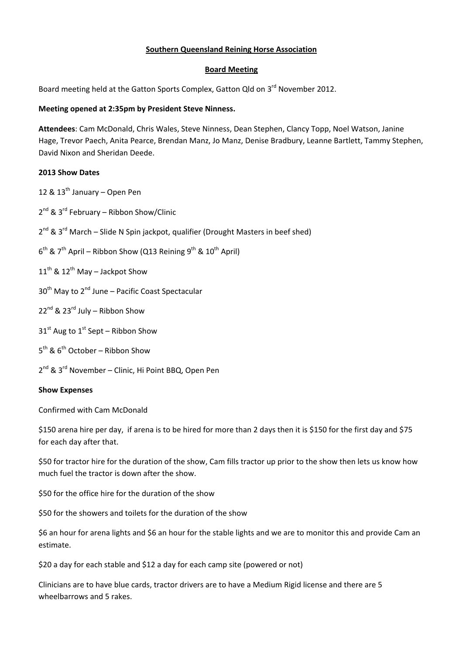# **Southern Queensland Reining Horse Association**

## **Board Meeting**

Board meeting held at the Gatton Sports Complex, Gatton Qld on 3<sup>rd</sup> November 2012.

## **Meeting opened at 2:35pm by President Steve Ninness.**

**Attendees**: Cam McDonald, Chris Wales, Steve Ninness, Dean Stephen, Clancy Topp, Noel Watson, Janine Hage, Trevor Paech, Anita Pearce, Brendan Manz, Jo Manz, Denise Bradbury, Leanne Bartlett, Tammy Stephen, David Nixon and Sheridan Deede.

### **2013 Show Dates**

12 & 13<sup>th</sup> January – Open Pen

- $2^{nd}$  &  $3^{rd}$  February Ribbon Show/Clinic
- $2^{nd}$  &  $3^{rd}$  March Slide N Spin jackpot, qualifier (Drought Masters in beef shed)
- $6^{th}$  & 7<sup>th</sup> April Ribbon Show (Q13 Reining 9<sup>th</sup> & 10<sup>th</sup> April)
- $11^{th}$  &  $12^{th}$  May Jackpot Show
- $30<sup>th</sup>$  May to  $2<sup>nd</sup>$  June Pacific Coast Spectacular
- $22^{nd}$  &  $23^{rd}$  July Ribbon Show
- $31<sup>st</sup>$  Aug to  $1<sup>st</sup>$  Sept Ribbon Show
- $5<sup>th</sup>$  &  $6<sup>th</sup>$  October Ribbon Show
- 2<sup>nd</sup> & 3<sup>rd</sup> November Clinic, Hi Point BBQ, Open Pen

### **Show Expenses**

Confirmed with Cam McDonald

\$150 arena hire per day, if arena is to be hired for more than 2 days then it is \$150 for the first day and \$75 for each day after that.

\$50 for tractor hire for the duration of the show, Cam fills tractor up prior to the show then lets us know how much fuel the tractor is down after the show.

\$50 for the office hire for the duration of the show

\$50 for the showers and toilets for the duration of the show

\$6 an hour for arena lights and \$6 an hour for the stable lights and we are to monitor this and provide Cam an estimate.

\$20 a day for each stable and \$12 a day for each camp site (powered or not)

Clinicians are to have blue cards, tractor drivers are to have a Medium Rigid license and there are 5 wheelbarrows and 5 rakes.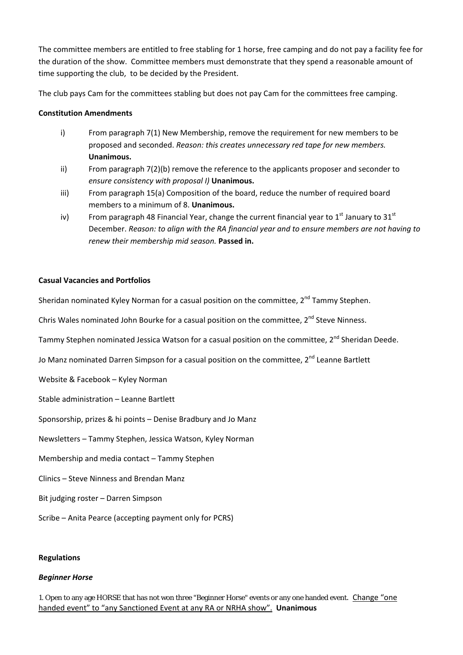The committee members are entitled to free stabling for 1 horse, free camping and do not pay a facility fee for the duration of the show. Committee members must demonstrate that they spend a reasonable amount of time supporting the club, to be decided by the President.

The club pays Cam for the committees stabling but does not pay Cam for the committees free camping.

## **Constitution Amendments**

- i) From paragraph 7(1) New Membership, remove the requirement for new members to be proposed and seconded. *Reason: this creates unnecessary red tape for new members.* **Unanimous.**
- ii) From paragraph 7(2)(b) remove the reference to the applicants proposer and seconder to *ensure consistency with proposal I)* **Unanimous.**
- iii) From paragraph 15(a) Composition of the board, reduce the number of required board members to a minimum of 8. **Unanimous.**
- iv) From paragraph 48 Financial Year, change the current financial year to  $1<sup>st</sup>$  January to  $31<sup>st</sup>$ December. *Reason: to align with the RA financial year and to ensure members are not having to renew their membership mid season.* **Passed in.**

## **Casual Vacancies and Portfolios**

Sheridan nominated Kyley Norman for a casual position on the committee,  $2^{nd}$  Tammy Stephen.

Chris Wales nominated John Bourke for a casual position on the committee, 2<sup>nd</sup> Steve Ninness.

Tammy Stephen nominated Jessica Watson for a casual position on the committee, 2<sup>nd</sup> Sheridan Deede.

Jo Manz nominated Darren Simpson for a casual position on the committee, 2<sup>nd</sup> Leanne Bartlett

Website & Facebook – Kyley Norman

Stable administration – Leanne Bartlett

Sponsorship, prizes & hi points – Denise Bradbury and Jo Manz

Newsletters – Tammy Stephen, Jessica Watson, Kyley Norman

Membership and media contact – Tammy Stephen

Clinics – Steve Ninness and Brendan Manz

- Bit judging roster Darren Simpson
- Scribe Anita Pearce (accepting payment only for PCRS)

### **Regulations**

### *Beginner Horse*

1. Open to any age HORSE that has not won three "Beginner Horse" events or any one handed event. Change "one handed event" to "any Sanctioned Event at any RA or NRHA show". **Unanimous**